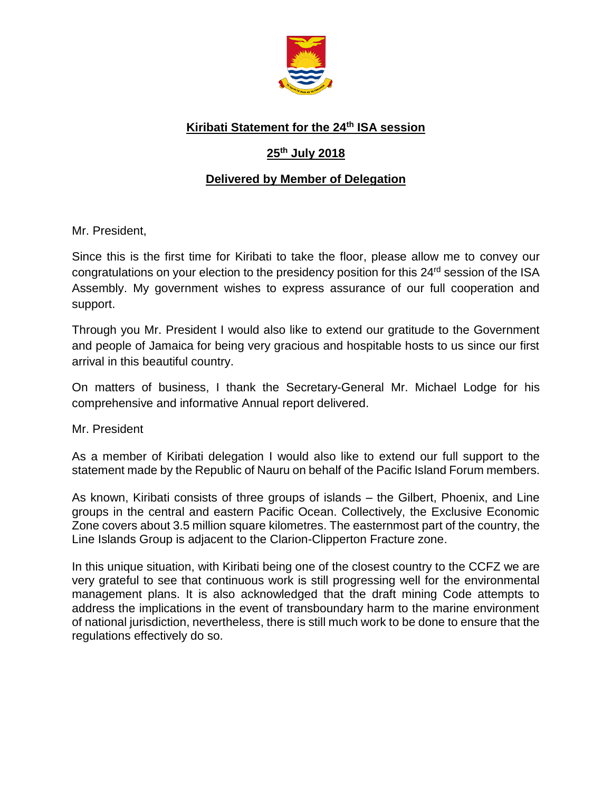

## **Kiribati Statement for the 24 th ISA session**

# **25 th July 2018**

### **Delivered by Member of Delegation**

Mr. President,

Since this is the first time for Kiribati to take the floor, please allow me to convey our congratulations on your election to the presidency position for this 24<sup>rd</sup> session of the ISA Assembly. My government wishes to express assurance of our full cooperation and support.

Through you Mr. President I would also like to extend our gratitude to the Government and people of Jamaica for being very gracious and hospitable hosts to us since our first arrival in this beautiful country.

On matters of business, I thank the Secretary-General Mr. Michael Lodge for his comprehensive and informative Annual report delivered.

Mr. President

As a member of Kiribati delegation I would also like to extend our full support to the statement made by the Republic of Nauru on behalf of the Pacific Island Forum members.

As known, Kiribati consists of three groups of islands – the Gilbert, Phoenix, and Line groups in the central and eastern Pacific Ocean. Collectively, the Exclusive Economic Zone covers about 3.5 million square kilometres. The easternmost part of the country, the Line Islands Group is adjacent to the Clarion-Clipperton Fracture zone.

In this unique situation, with Kiribati being one of the closest country to the CCFZ we are very grateful to see that continuous work is still progressing well for the environmental management plans. It is also acknowledged that the draft mining Code attempts to address the implications in the event of transboundary harm to the marine environment of national jurisdiction, nevertheless, there is still much work to be done to ensure that the regulations effectively do so.